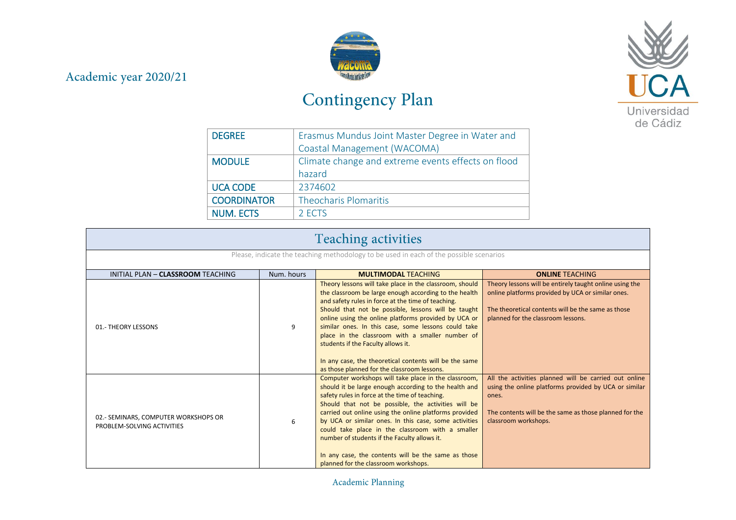## Academic year 2020/21



## Contingency Plan



| <b>DEGREE</b>      | Erasmus Mundus Joint Master Degree in Water and    |
|--------------------|----------------------------------------------------|
|                    | Coastal Management (WACOMA)                        |
| <b>MODULE</b>      | Climate change and extreme events effects on flood |
|                    | hazard                                             |
| <b>UCA CODE</b>    | 2374602                                            |
| <b>COORDINATOR</b> | <b>Theocharis Plomaritis</b>                       |
| <b>NUM. ECTS</b>   | 2 ECTS                                             |

| <b>Teaching activities</b>                                                             |                                                                    |                                                                                                                                                                                                                                                                                                                                                                                                                                                                                                                                                |                                                                                                                                                                                                           |  |
|----------------------------------------------------------------------------------------|--------------------------------------------------------------------|------------------------------------------------------------------------------------------------------------------------------------------------------------------------------------------------------------------------------------------------------------------------------------------------------------------------------------------------------------------------------------------------------------------------------------------------------------------------------------------------------------------------------------------------|-----------------------------------------------------------------------------------------------------------------------------------------------------------------------------------------------------------|--|
| Please, indicate the teaching methodology to be used in each of the possible scenarios |                                                                    |                                                                                                                                                                                                                                                                                                                                                                                                                                                                                                                                                |                                                                                                                                                                                                           |  |
| INITIAL PLAN - CLASSROOM TEACHING                                                      | Num, hours<br><b>ONLINE TEACHING</b><br><b>MULTIMODAL TEACHING</b> |                                                                                                                                                                                                                                                                                                                                                                                                                                                                                                                                                |                                                                                                                                                                                                           |  |
| 01.- THEORY LESSONS                                                                    | 9                                                                  | Theory lessons will take place in the classroom, should<br>the classroom be large enough according to the health<br>and safety rules in force at the time of teaching.<br>Should that not be possible, lessons will be taught<br>online using the online platforms provided by UCA or<br>similar ones. In this case, some lessons could take<br>place in the classroom with a smaller number of<br>students if the Faculty allows it.<br>In any case, the theoretical contents will be the same<br>as those planned for the classroom lessons. | Theory lessons will be entirely taught online using the<br>online platforms provided by UCA or similar ones.<br>The theoretical contents will be the same as those<br>planned for the classroom lessons.  |  |
| 02.- SEMINARS, COMPUTER WORKSHOPS OR<br>PROBLEM-SOLVING ACTIVITIES                     | 6                                                                  | Computer workshops will take place in the classroom,<br>should it be large enough according to the health and<br>safety rules in force at the time of teaching.<br>Should that not be possible, the activities will be<br>carried out online using the online platforms provided<br>by UCA or similar ones. In this case, some activities<br>could take place in the classroom with a smaller<br>number of students if the Faculty allows it.<br>In any case, the contents will be the same as those<br>planned for the classroom workshops.   | All the activities planned will be carried out online<br>using the online platforms provided by UCA or similar<br>ones.<br>The contents will be the same as those planned for the<br>classroom workshops. |  |

Academic Planning